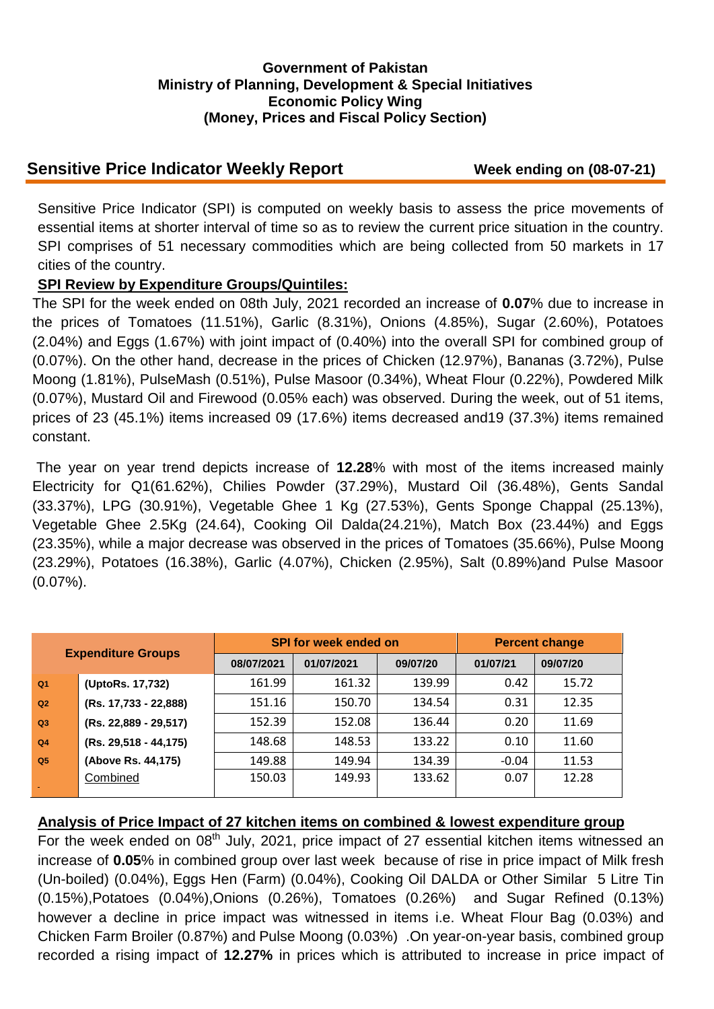### **Government of Pakistan Ministry of Planning, Development & Special Initiatives Economic Policy Wing (Money, Prices and Fiscal Policy Section)**

# **Sensitive Price Indicator Weekly Report Week ending on (08-07-21)**

Sensitive Price Indicator (SPI) is computed on weekly basis to assess the price movements of essential items at shorter interval of time so as to review the current price situation in the country. SPI comprises of 51 necessary commodities which are being collected from 50 markets in 17 cities of the country.

### **SPI Review by Expenditure Groups/Quintiles:**

The SPI for the week ended on 08th July, 2021 recorded an increase of **0.07**% due to increase in the prices of Tomatoes (11.51%), Garlic (8.31%), Onions (4.85%), Sugar (2.60%), Potatoes (2.04%) and Eggs (1.67%) with joint impact of (0.40%) into the overall SPI for combined group of (0.07%). On the other hand, decrease in the prices of Chicken (12.97%), Bananas (3.72%), Pulse Moong (1.81%), PulseMash (0.51%), Pulse Masoor (0.34%), Wheat Flour (0.22%), Powdered Milk (0.07%), Mustard Oil and Firewood (0.05% each) was observed. During the week, out of 51 items, prices of 23 (45.1%) items increased 09 (17.6%) items decreased and19 (37.3%) items remained constant.

The year on year trend depicts increase of **12.28**% with most of the items increased mainly Electricity for Q1(61.62%), Chilies Powder (37.29%), Mustard Oil (36.48%), Gents Sandal (33.37%), LPG (30.91%), Vegetable Ghee 1 Kg (27.53%), Gents Sponge Chappal (25.13%), Vegetable Ghee 2.5Kg (24.64), Cooking Oil Dalda(24.21%), Match Box (23.44%) and Eggs (23.35%), while a major decrease was observed in the prices of Tomatoes (35.66%), Pulse Moong (23.29%), Potatoes (16.38%), Garlic (4.07%), Chicken (2.95%), Salt (0.89%)and Pulse Masoor (0.07%).

| <b>Expenditure Groups</b> |                         |            | <b>SPI for week ended on</b> | <b>Percent change</b> |          |          |
|---------------------------|-------------------------|------------|------------------------------|-----------------------|----------|----------|
|                           |                         | 08/07/2021 | 01/07/2021                   | 09/07/20              | 01/07/21 | 09/07/20 |
| Q <sub>1</sub>            | (UptoRs. 17,732)        | 161.99     | 161.32                       | 139.99                | 0.42     | 15.72    |
| Q <sub>2</sub>            | (Rs. 17,733 - 22,888)   | 151.16     | 150.70                       | 134.54                | 0.31     | 12.35    |
| Q <sub>3</sub>            | (Rs. 22,889 - 29,517)   | 152.39     | 152.08                       | 136.44                | 0.20     | 11.69    |
| Q <sub>4</sub>            | $(Rs. 29,518 - 44,175)$ | 148.68     | 148.53                       | 133.22                | 0.10     | 11.60    |
| Q <sub>5</sub>            | (Above Rs. 44,175)      | 149.88     | 149.94                       | 134.39                | $-0.04$  | 11.53    |
|                           | Combined                | 150.03     | 149.93                       | 133.62                | 0.07     | 12.28    |

# **Analysis of Price Impact of 27 kitchen items on combined & lowest expenditure group**

For the week ended on  $08<sup>th</sup>$  July, 2021, price impact of 27 essential kitchen items witnessed an increase of **0.05**% in combined group over last week because of rise in price impact of Milk fresh (Un-boiled) (0.04%), Eggs Hen (Farm) (0.04%), Cooking Oil DALDA or Other Similar 5 Litre Tin (0.15%),Potatoes (0.04%),Onions (0.26%), Tomatoes (0.26%) and Sugar Refined (0.13%) however a decline in price impact was witnessed in items i.e. Wheat Flour Bag (0.03%) and Chicken Farm Broiler (0.87%) and Pulse Moong (0.03%) .On year-on-year basis, combined group recorded a rising impact of **12.27%** in prices which is attributed to increase in price impact of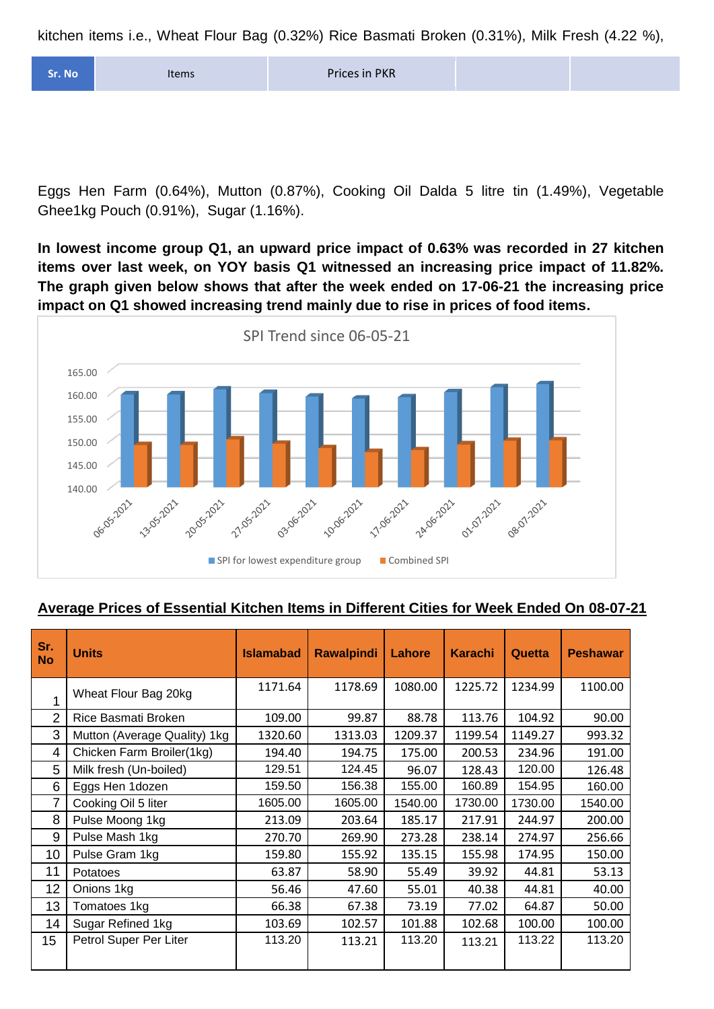kitchen items i.e., Wheat Flour Bag (0.32%) Rice Basmati Broken (0.31%), Milk Fresh (4.22 %),

| Sr. No | <b>Items</b> | Prices in PKR |  |  |
|--------|--------------|---------------|--|--|
|--------|--------------|---------------|--|--|

Eggs Hen Farm (0.64%), Mutton (0.87%), Cooking Oil Dalda 5 litre tin (1.49%), Vegetable Ghee1kg Pouch (0.91%), Sugar (1.16%).

**In lowest income group Q1, an upward price impact of 0.63% was recorded in 27 kitchen items over last week, on YOY basis Q1 witnessed an increasing price impact of 11.82%. The graph given below shows that after the week ended on 17-06-21 the increasing price impact on Q1 showed increasing trend mainly due to rise in prices of food items.**



#### **Average Prices of Essential Kitchen Items in Different Cities for Week Ended On 08-07-21**

| Sr.<br><b>No</b> | <b>Units</b>                 | <b>Islamabad</b> | <b>Rawalpindi</b> | Lahore  | <b>Karachi</b> | <b>Quetta</b> | <b>Peshawar</b> |
|------------------|------------------------------|------------------|-------------------|---------|----------------|---------------|-----------------|
| 1                | Wheat Flour Bag 20kg         | 1171.64          | 1178.69           | 1080.00 | 1225.72        | 1234.99       | 1100.00         |
| $\overline{2}$   | Rice Basmati Broken          | 109.00           | 99.87             | 88.78   | 113.76         | 104.92        | 90.00           |
| 3                | Mutton (Average Quality) 1kg | 1320.60          | 1313.03           | 1209.37 | 1199.54        | 1149.27       | 993.32          |
| 4                | Chicken Farm Broiler(1kg)    | 194.40           | 194.75            | 175.00  | 200.53         | 234.96        | 191.00          |
| 5                | Milk fresh (Un-boiled)       | 129.51           | 124.45            | 96.07   | 128.43         | 120.00        | 126.48          |
| 6                | Eggs Hen 1dozen              | 159.50           | 156.38            | 155.00  | 160.89         | 154.95        | 160.00          |
| $\overline{7}$   | Cooking Oil 5 liter          | 1605.00          | 1605.00           | 1540.00 | 1730.00        | 1730.00       | 1540.00         |
| 8                | Pulse Moong 1kg              | 213.09           | 203.64            | 185.17  | 217.91         | 244.97        | 200.00          |
| 9                | Pulse Mash 1kg               | 270.70           | 269.90            | 273.28  | 238.14         | 274.97        | 256.66          |
| 10               | Pulse Gram 1kg               | 159.80           | 155.92            | 135.15  | 155.98         | 174.95        | 150.00          |
| 11               | Potatoes                     | 63.87            | 58.90             | 55.49   | 39.92          | 44.81         | 53.13           |
| 12               | Onions 1kg                   | 56.46            | 47.60             | 55.01   | 40.38          | 44.81         | 40.00           |
| 13               | Tomatoes 1kg                 | 66.38            | 67.38             | 73.19   | 77.02          | 64.87         | 50.00           |
| 14               | Sugar Refined 1kg            | 103.69           | 102.57            | 101.88  | 102.68         | 100.00        | 100.00          |
| 15               | Petrol Super Per Liter       | 113.20           | 113.21            | 113.20  | 113.21         | 113.22        | 113.20          |